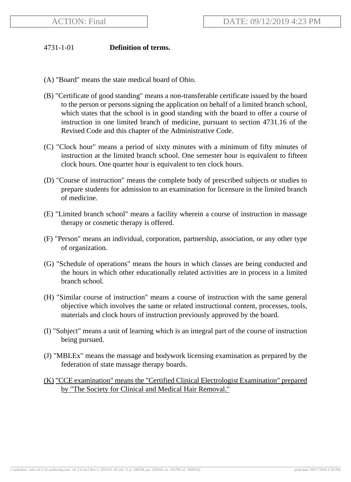## 4731-1-01 **Definition of terms.**

- (A) "Board" means the state medical board of Ohio.
- (B) "Certificate of good standing" means a non-transferable certificate issued by the board to the person or persons signing the application on behalf of a limited branch school, which states that the school is in good standing with the board to offer a course of instruction in one limited branch of medicine, pursuant to section 4731.16 of the Revised Code and this chapter of the Administrative Code.
- (C) "Clock hour" means a period of sixty minutes with a minimum of fifty minutes of instruction at the limited branch school. One semester hour is equivalent to fifteen clock hours. One quarter hour is equivalent to ten clock hours.
- (D) "Course of instruction" means the complete body of prescribed subjects or studies to prepare students for admission to an examination for licensure in the limited branch of medicine.
- (E) "Limited branch school" means a facility wherein a course of instruction in massage therapy or cosmetic therapy is offered.
- (F) "Person" means an individual, corporation, partnership, association, or any other type of organization.
- (G) "Schedule of operations" means the hours in which classes are being conducted and the hours in which other educationally related activities are in process in a limited branch school.
- (H) "Similar course of instruction" means a course of instruction with the same general objective which involves the same or related instructional content, processes, tools, materials and clock hours of instruction previously approved by the board.
- (I) "Subject" means a unit of learning which is an integral part of the course of instruction being pursued.
- (J) "MBLEx" means the massage and bodywork licensing examination as prepared by the federation of state massage therapy boards.
- (K) "CCE examination" means the "Certified Clinical Electrologist Examination" prepared by "The Society for Clinical and Medical Hair Removal."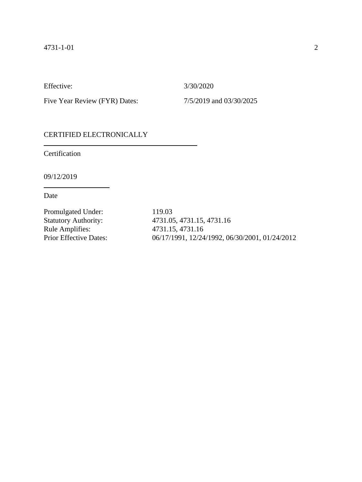Effective: 3/30/2020

Five Year Review (FYR) Dates:  $7/5/2019$  and  $03/30/2025$ 

## CERTIFIED ELECTRONICALLY

Certification

09/12/2019

Date

Promulgated Under: 119.03<br>Statutory Authority: 4731.05

Statutory Authority: 4731.05, 4731.15, 4731.16<br>Rule Amplifies: 4731.15, 4731.16 Rule Amplifies: 4731.15, 4731.16 Prior Effective Dates: 06/17/1991, 12/24/1992, 06/30/2001, 01/24/2012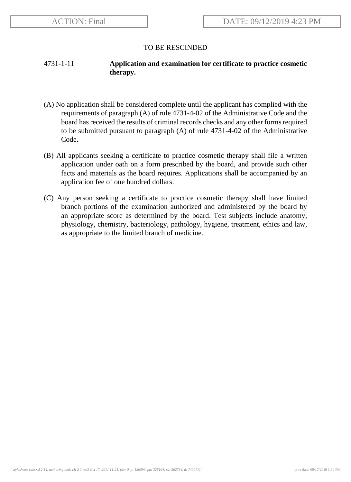# 4731-1-11 **Application and examination for certificate to practice cosmetic therapy.**

- (A) No application shall be considered complete until the applicant has complied with the requirements of paragraph (A) of rule 4731-4-02 of the Administrative Code and the board has received the results of criminal records checks and any other forms required to be submitted pursuant to paragraph (A) of rule 4731-4-02 of the Administrative Code.
- (B) All applicants seeking a certificate to practice cosmetic therapy shall file a written application under oath on a form prescribed by the board, and provide such other facts and materials as the board requires. Applications shall be accompanied by an application fee of one hundred dollars.
- (C) Any person seeking a certificate to practice cosmetic therapy shall have limited branch portions of the examination authorized and administered by the board by an appropriate score as determined by the board. Test subjects include anatomy, physiology, chemistry, bacteriology, pathology, hygiene, treatment, ethics and law, as appropriate to the limited branch of medicine.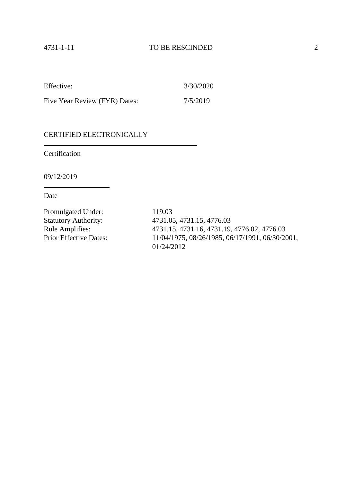| Effective:                    | 3/30/2020 |
|-------------------------------|-----------|
| Five Year Review (FYR) Dates: | 7/5/2019  |

Certification

09/12/2019

Date

Promulgated Under: 119.03<br>Statutory Authority: 4731.05

Statutory Authority: 4731.05, 4731.15, 4776.03<br>Rule Amplifies: 4731.15, 4731.16, 4731.19, Rule Amplifies: 4731.15, 4731.16, 4731.19, 4776.02, 4776.03<br>Prior Effective Dates: 11/04/1975, 08/26/1985, 06/17/1991, 06/30/20 Prior Effective Dates: 11/04/1975, 08/26/1985, 06/17/1991, 06/30/2001, 01/24/2012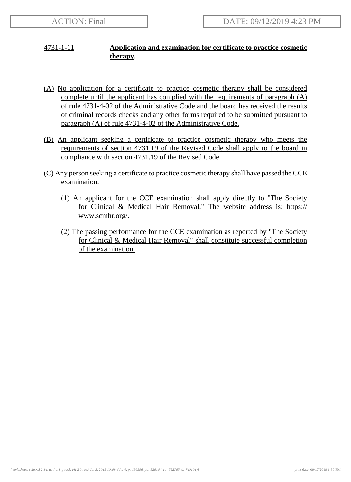# 4731-1-11 **Application and examination for certificate to practice cosmetic therapy.**

- (A) No application for a certificate to practice cosmetic therapy shall be considered complete until the applicant has complied with the requirements of paragraph (A) of rule 4731-4-02 of the Administrative Code and the board has received the results of criminal records checks and any other forms required to be submitted pursuant to paragraph (A) of rule 4731-4-02 of the Administrative Code.
- (B) An applicant seeking a certificate to practice cosmetic therapy who meets the requirements of section 4731.19 of the Revised Code shall apply to the board in compliance with section 4731.19 of the Revised Code.
- (C) Any person seeking a certificate to practice cosmetic therapy shall have passed the CCE examination.
	- (1) An applicant for the CCE examination shall apply directly to "The Society for Clinical & Medical Hair Removal." The website address is: https:// www.scmhr.org/.
	- (2) The passing performance for the CCE examination as reported by "The Society for Clinical & Medical Hair Removal" shall constitute successful completion of the examination.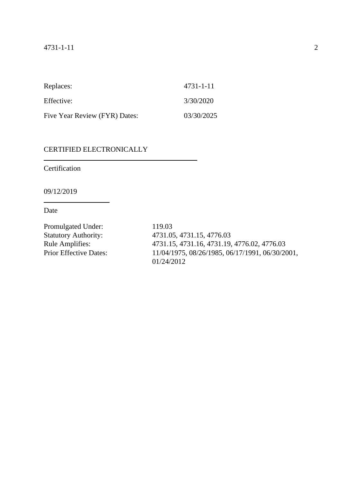| Replaces:                     | 4731-1-11  |
|-------------------------------|------------|
| Effective:                    | 3/30/2020  |
| Five Year Review (FYR) Dates: | 03/30/2025 |

Certification

09/12/2019

Date

Promulgated Under: 119.03

Statutory Authority: 4731.05, 4731.15, 4776.03<br>Rule Amplifies: 4731.15, 4731.16, 4731.19, Rule Amplifies: 4731.15, 4731.16, 4731.19, 4776.02, 4776.03<br>Prior Effective Dates: 11/04/1975, 08/26/1985, 06/17/1991, 06/30/20 Prior Effective Dates: 11/04/1975, 08/26/1985, 06/17/1991, 06/30/2001, 01/24/2012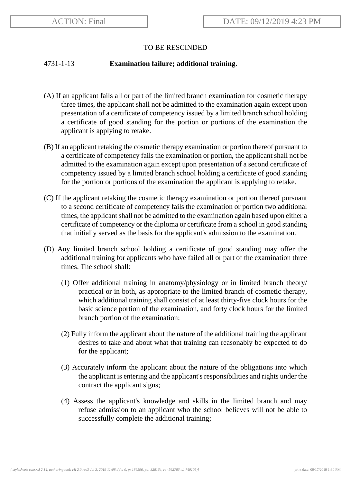#### 4731-1-13 **Examination failure; additional training.**

- (A) If an applicant fails all or part of the limited branch examination for cosmetic therapy three times, the applicant shall not be admitted to the examination again except upon presentation of a certificate of competency issued by a limited branch school holding a certificate of good standing for the portion or portions of the examination the applicant is applying to retake.
- (B) If an applicant retaking the cosmetic therapy examination or portion thereof pursuant to a certificate of competency fails the examination or portion, the applicant shall not be admitted to the examination again except upon presentation of a second certificate of competency issued by a limited branch school holding a certificate of good standing for the portion or portions of the examination the applicant is applying to retake.
- (C) If the applicant retaking the cosmetic therapy examination or portion thereof pursuant to a second certificate of competency fails the examination or portion two additional times, the applicant shall not be admitted to the examination again based upon either a certificate of competency or the diploma or certificate from a school in good standing that initially served as the basis for the applicant's admission to the examination.
- (D) Any limited branch school holding a certificate of good standing may offer the additional training for applicants who have failed all or part of the examination three times. The school shall:
	- (1) Offer additional training in anatomy/physiology or in limited branch theory/ practical or in both, as appropriate to the limited branch of cosmetic therapy, which additional training shall consist of at least thirty-five clock hours for the basic science portion of the examination, and forty clock hours for the limited branch portion of the examination;
	- (2) Fully inform the applicant about the nature of the additional training the applicant desires to take and about what that training can reasonably be expected to do for the applicant;
	- (3) Accurately inform the applicant about the nature of the obligations into which the applicant is entering and the applicant's responsibilities and rights under the contract the applicant signs;
	- (4) Assess the applicant's knowledge and skills in the limited branch and may refuse admission to an applicant who the school believes will not be able to successfully complete the additional training;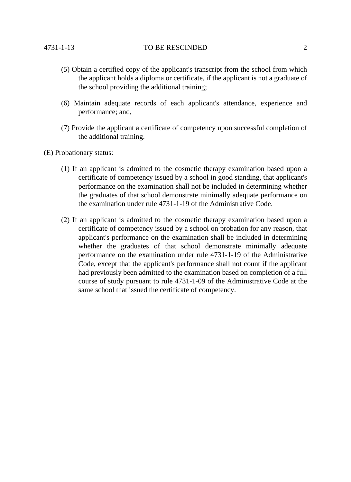- (5) Obtain a certified copy of the applicant's transcript from the school from which the applicant holds a diploma or certificate, if the applicant is not a graduate of the school providing the additional training;
- (6) Maintain adequate records of each applicant's attendance, experience and performance; and,
- (7) Provide the applicant a certificate of competency upon successful completion of the additional training.
- (E) Probationary status:
	- (1) If an applicant is admitted to the cosmetic therapy examination based upon a certificate of competency issued by a school in good standing, that applicant's performance on the examination shall not be included in determining whether the graduates of that school demonstrate minimally adequate performance on the examination under rule 4731-1-19 of the Administrative Code.
	- (2) If an applicant is admitted to the cosmetic therapy examination based upon a certificate of competency issued by a school on probation for any reason, that applicant's performance on the examination shall be included in determining whether the graduates of that school demonstrate minimally adequate performance on the examination under rule 4731-1-19 of the Administrative Code, except that the applicant's performance shall not count if the applicant had previously been admitted to the examination based on completion of a full course of study pursuant to rule 4731-1-09 of the Administrative Code at the same school that issued the certificate of competency.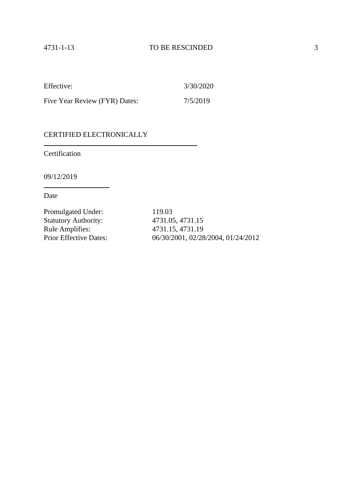| Effective:                    | 3/30/2020 |
|-------------------------------|-----------|
| Five Year Review (FYR) Dates: | 7/5/2019  |

Certification

09/12/2019

Date

Promulgated Under: 119.03 Statutory Authority: 4731.05, 4731.15<br>
Rule Amplifies: 4731.15, 4731.19 Rule Amplifies:<br>Prior Effective Dates:

06/30/2001, 02/28/2004, 01/24/2012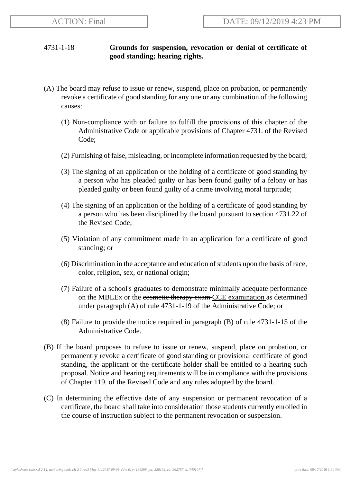# 4731-1-18 **Grounds for suspension, revocation or denial of certificate of good standing; hearing rights.**

- (A) The board may refuse to issue or renew, suspend, place on probation, or permanently revoke a certificate of good standing for any one or any combination of the following causes:
	- (1) Non-compliance with or failure to fulfill the provisions of this chapter of the Administrative Code or applicable provisions of Chapter 4731. of the Revised Code;
	- (2) Furnishing of false, misleading, or incomplete information requested by the board;
	- (3) The signing of an application or the holding of a certificate of good standing by a person who has pleaded guilty or has been found guilty of a felony or has pleaded guilty or been found guilty of a crime involving moral turpitude;
	- (4) The signing of an application or the holding of a certificate of good standing by a person who has been disciplined by the board pursuant to section 4731.22 of the Revised Code;
	- (5) Violation of any commitment made in an application for a certificate of good standing; or
	- (6) Discrimination in the acceptance and education of students upon the basis of race, color, religion, sex, or national origin;
	- (7) Failure of a school's graduates to demonstrate minimally adequate performance on the MBLEx or the cosmetic therapy exam CCE examination as determined under paragraph (A) of rule 4731-1-19 of the Administrative Code; or
	- (8) Failure to provide the notice required in paragraph (B) of rule 4731-1-15 of the Administrative Code.
- (B) If the board proposes to refuse to issue or renew, suspend, place on probation, or permanently revoke a certificate of good standing or provisional certificate of good standing, the applicant or the certificate holder shall be entitled to a hearing such proposal. Notice and hearing requirements will be in compliance with the provisions of Chapter 119. of the Revised Code and any rules adopted by the board.
- (C) In determining the effective date of any suspension or permanent revocation of a certificate, the board shall take into consideration those students currently enrolled in the course of instruction subject to the permanent revocation or suspension.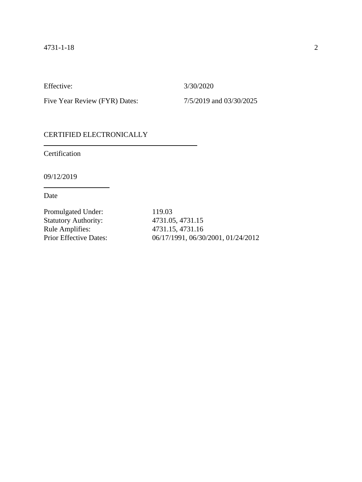Effective: 3/30/2020

Five Year Review (FYR) Dates:  $7/5/2019$  and  $03/30/2025$ 

## CERTIFIED ELECTRONICALLY

Certification

09/12/2019

Date

Promulgated Under: 119.03 Statutory Authority: 4731.05, 4731.15 Rule Amplifies: 4731.15, 4731.16<br>Prior Effective Dates: 06/17/1991, 06/30

06/17/1991, 06/30/2001, 01/24/2012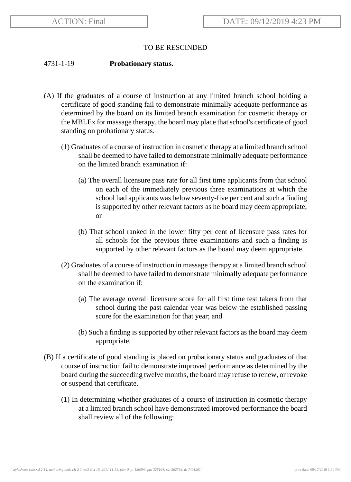#### 4731-1-19 **Probationary status.**

- (A) If the graduates of a course of instruction at any limited branch school holding a certificate of good standing fail to demonstrate minimally adequate performance as determined by the board on its limited branch examination for cosmetic therapy or the MBLEx for massage therapy, the board may place that school's certificate of good standing on probationary status.
	- (1) Graduates of a course of instruction in cosmetic therapy at a limited branch school shall be deemed to have failed to demonstrate minimally adequate performance on the limited branch examination if:
		- (a) The overall licensure pass rate for all first time applicants from that school on each of the immediately previous three examinations at which the school had applicants was below seventy-five per cent and such a finding is supported by other relevant factors as he board may deem appropriate; or
		- (b) That school ranked in the lower fifty per cent of licensure pass rates for all schools for the previous three examinations and such a finding is supported by other relevant factors as the board may deem appropriate.
	- (2) Graduates of a course of instruction in massage therapy at a limited branch school shall be deemed to have failed to demonstrate minimally adequate performance on the examination if:
		- (a) The average overall licensure score for all first time test takers from that school during the past calendar year was below the established passing score for the examination for that year; and
		- (b) Such a finding is supported by other relevant factors as the board may deem appropriate.
- (B) If a certificate of good standing is placed on probationary status and graduates of that course of instruction fail to demonstrate improved performance as determined by the board during the succeeding twelve months, the board may refuse to renew, or revoke or suspend that certificate.
	- (1) In determining whether graduates of a course of instruction in cosmetic therapy at a limited branch school have demonstrated improved performance the board shall review all of the following: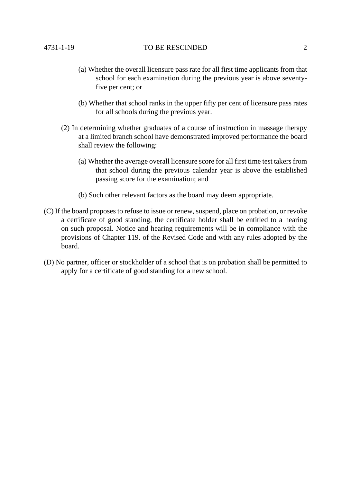- (a) Whether the overall licensure pass rate for all first time applicants from that school for each examination during the previous year is above seventyfive per cent; or
- (b) Whether that school ranks in the upper fifty per cent of licensure pass rates for all schools during the previous year.
- (2) In determining whether graduates of a course of instruction in massage therapy at a limited branch school have demonstrated improved performance the board shall review the following:
	- (a) Whether the average overall licensure score for all first time test takers from that school during the previous calendar year is above the established passing score for the examination; and
	- (b) Such other relevant factors as the board may deem appropriate.
- (C) If the board proposes to refuse to issue or renew, suspend, place on probation, or revoke a certificate of good standing, the certificate holder shall be entitled to a hearing on such proposal. Notice and hearing requirements will be in compliance with the provisions of Chapter 119. of the Revised Code and with any rules adopted by the board.
- (D) No partner, officer or stockholder of a school that is on probation shall be permitted to apply for a certificate of good standing for a new school.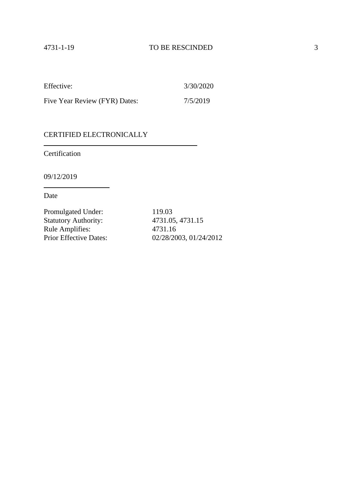| Effective:                    | 3/30/2020 |
|-------------------------------|-----------|
| Five Year Review (FYR) Dates: | 7/5/2019  |

Certification

09/12/2019

Date

Promulgated Under: 119.03<br>Statutory Authority: 4731.05, 4731.15 Statutory Authority: Rule Amplifies: 4731.16<br>Prior Effective Dates: 02/28/20

02/28/2003, 01/24/2012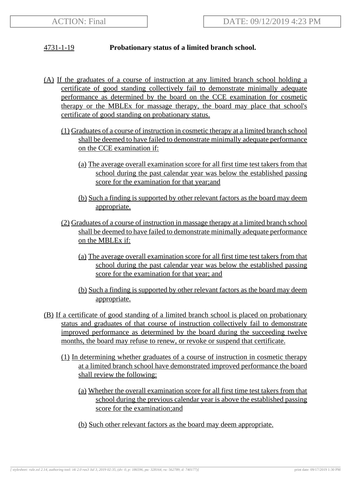# 4731-1-19 **Probationary status of a limited branch school.**

- (A) If the graduates of a course of instruction at any limited branch school holding a certificate of good standing collectively fail to demonstrate minimally adequate performance as determined by the board on the CCE examination for cosmetic therapy or the MBLEx for massage therapy, the board may place that school's certificate of good standing on probationary status.
	- (1) Graduates of a course of instruction in cosmetic therapy at a limited branch school shall be deemed to have failed to demonstrate minimally adequate performance on the CCE examination if:
		- (a) The average overall examination score for all first time test takers from that school during the past calendar year was below the established passing score for the examination for that year;and
		- (b) Such a finding is supported by other relevant factors as the board may deem appropriate.
	- (2) Graduates of a course of instruction in massage therapy at a limited branch school shall be deemed to have failed to demonstrate minimally adequate performance on the MBLEx if:
		- (a) The average overall examination score for all first time test takers from that school during the past calendar year was below the established passing score for the examination for that year; and
		- (b) Such a finding is supported by other relevant factors as the board may deem appropriate.
- (B) If a certificate of good standing of a limited branch school is placed on probationary status and graduates of that course of instruction collectively fail to demonstrate improved performance as determined by the board during the succeeding twelve months, the board may refuse to renew, or revoke or suspend that certificate.
	- (1) In determining whether graduates of a course of instruction in cosmetic therapy at a limited branch school have demonstrated improved performance the board shall review the following:
		- (a) Whether the overall examination score for all first time test takers from that school during the previous calendar year is above the established passing score for the examination;and
		- (b) Such other relevant factors as the board may deem appropriate.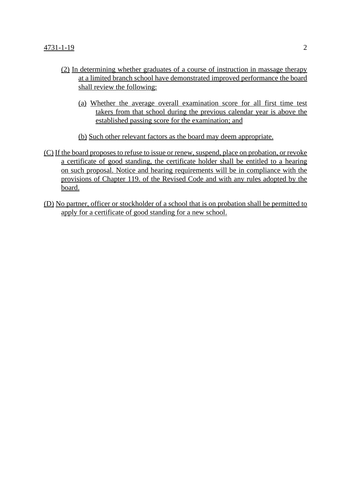- (2) In determining whether graduates of a course of instruction in massage therapy at a limited branch school have demonstrated improved performance the board shall review the following:
	- (a) Whether the average overall examination score for all first time test takers from that school during the previous calendar year is above the established passing score for the examination; and
	- (b) Such other relevant factors as the board may deem appropriate.
- (C) If the board proposes to refuse to issue or renew, suspend, place on probation, or revoke a certificate of good standing, the certificate holder shall be entitled to a hearing on such proposal. Notice and hearing requirements will be in compliance with the provisions of Chapter 119. of the Revised Code and with any rules adopted by the board.
- (D) No partner, officer or stockholder of a school that is on probation shall be permitted to apply for a certificate of good standing for a new school.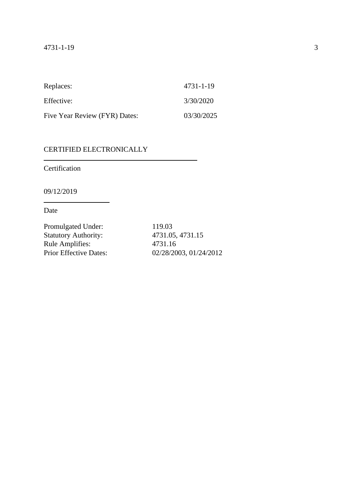| Replaces:                     | 4731-1-19  |
|-------------------------------|------------|
| Effective:                    | 3/30/2020  |
| Five Year Review (FYR) Dates: | 03/30/2025 |

Certification

09/12/2019

Date

Promulgated Under: 119.03 Statutory Authority: 4731.05, 4731.15 Rule Amplifies: 4731.16<br>Prior Effective Dates: 02/28/20

02/28/2003, 01/24/2012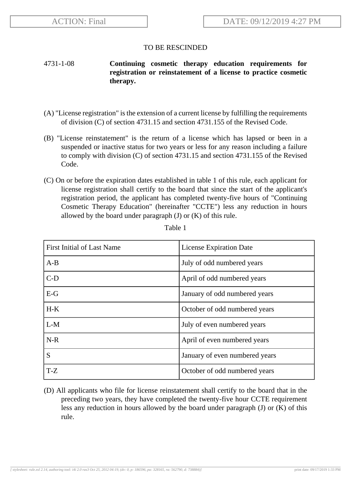## 4731-1-08 **Continuing cosmetic therapy education requirements for registration or reinstatement of a license to practice cosmetic therapy.**

- (A) "License registration" is the extension of a current license by fulfilling the requirements of division (C) of section 4731.15 and section 4731.155 of the Revised Code.
- (B) "License reinstatement" is the return of a license which has lapsed or been in a suspended or inactive status for two years or less for any reason including a failure to comply with division (C) of section 4731.15 and section 4731.155 of the Revised Code.
- (C) On or before the expiration dates established in table 1 of this rule, each applicant for license registration shall certify to the board that since the start of the applicant's registration period, the applicant has completed twenty-five hours of "Continuing Cosmetic Therapy Education" (hereinafter "CCTE") less any reduction in hours allowed by the board under paragraph  $(J)$  or  $(K)$  of this rule.

| First Initial of Last Name | <b>License Expiration Date</b> |
|----------------------------|--------------------------------|
| $A-B$                      | July of odd numbered years     |
| $C-D$                      | April of odd numbered years    |
| $E-G$                      | January of odd numbered years  |
| $H-K$                      | October of odd numbered years  |
| $L-M$                      | July of even numbered years    |
| $N-R$                      | April of even numbered years   |
| S                          | January of even numbered years |
| $T-Z$                      | October of odd numbered years  |

Table 1

(D) All applicants who file for license reinstatement shall certify to the board that in the preceding two years, they have completed the twenty-five hour CCTE requirement less any reduction in hours allowed by the board under paragraph (J) or (K) of this rule.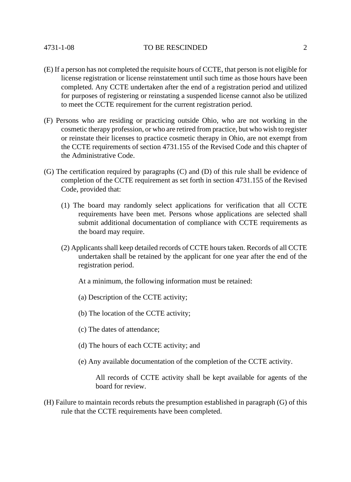- (E) If a person has not completed the requisite hours of CCTE, that person is not eligible for license registration or license reinstatement until such time as those hours have been completed. Any CCTE undertaken after the end of a registration period and utilized for purposes of registering or reinstating a suspended license cannot also be utilized to meet the CCTE requirement for the current registration period.
- (F) Persons who are residing or practicing outside Ohio, who are not working in the cosmetic therapy profession, or who are retired from practice, but who wish to register or reinstate their licenses to practice cosmetic therapy in Ohio, are not exempt from the CCTE requirements of section 4731.155 of the Revised Code and this chapter of the Administrative Code.
- (G) The certification required by paragraphs (C) and (D) of this rule shall be evidence of completion of the CCTE requirement as set forth in section 4731.155 of the Revised Code, provided that:
	- (1) The board may randomly select applications for verification that all CCTE requirements have been met. Persons whose applications are selected shall submit additional documentation of compliance with CCTE requirements as the board may require.
	- (2) Applicants shall keep detailed records of CCTE hours taken. Records of all CCTE undertaken shall be retained by the applicant for one year after the end of the registration period.
		- At a minimum, the following information must be retained:
		- (a) Description of the CCTE activity;
		- (b) The location of the CCTE activity;
		- (c) The dates of attendance;
		- (d) The hours of each CCTE activity; and
		- (e) Any available documentation of the completion of the CCTE activity.

All records of CCTE activity shall be kept available for agents of the board for review.

(H) Failure to maintain records rebuts the presumption established in paragraph (G) of this rule that the CCTE requirements have been completed.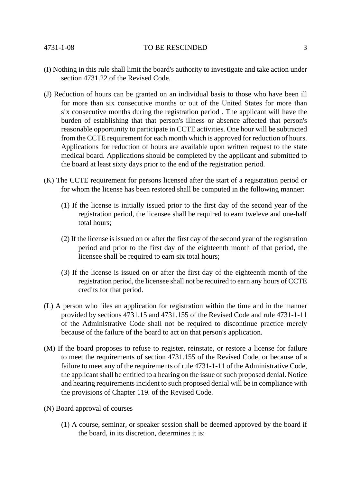- (I) Nothing in this rule shall limit the board's authority to investigate and take action under section 4731.22 of the Revised Code.
- (J) Reduction of hours can be granted on an individual basis to those who have been ill for more than six consecutive months or out of the United States for more than six consecutive months during the registration period . The applicant will have the burden of establishing that that person's illness or absence affected that person's reasonable opportunity to participate in CCTE activities. One hour will be subtracted from the CCTE requirement for each month which is approved for reduction of hours. Applications for reduction of hours are available upon written request to the state medical board. Applications should be completed by the applicant and submitted to the board at least sixty days prior to the end of the registration period.
- (K) The CCTE requirement for persons licensed after the start of a registration period or for whom the license has been restored shall be computed in the following manner:
	- (1) If the license is initially issued prior to the first day of the second year of the registration period, the licensee shall be required to earn tweleve and one-half total hours;
	- (2) If the license is issued on or after the first day of the second year of the registration period and prior to the first day of the eighteenth month of that period, the licensee shall be required to earn six total hours;
	- (3) If the license is issued on or after the first day of the eighteenth month of the registration period, the licensee shall not be required to earn any hours of CCTE credits for that period.
- (L) A person who files an application for registration within the time and in the manner provided by sections 4731.15 and 4731.155 of the Revised Code and rule 4731-1-11 of the Administrative Code shall not be required to discontinue practice merely because of the failure of the board to act on that person's application.
- (M) If the board proposes to refuse to register, reinstate, or restore a license for failure to meet the requirements of section 4731.155 of the Revised Code, or because of a failure to meet any of the requirements of rule 4731-1-11 of the Administrative Code, the applicant shall be entitled to a hearing on the issue of such proposed denial. Notice and hearing requirements incident to such proposed denial will be in compliance with the provisions of Chapter 119. of the Revised Code.
- (N) Board approval of courses
	- (1) A course, seminar, or speaker session shall be deemed approved by the board if the board, in its discretion, determines it is: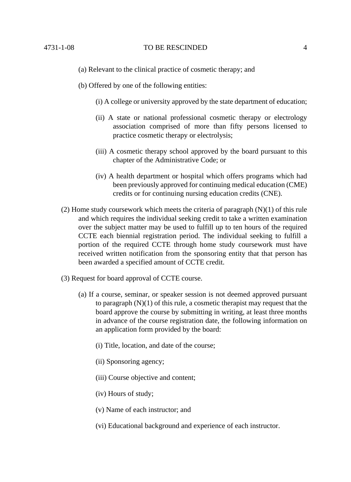- (a) Relevant to the clinical practice of cosmetic therapy; and
- (b) Offered by one of the following entities:
	- (i) A college or university approved by the state department of education;
	- (ii) A state or national professional cosmetic therapy or electrology association comprised of more than fifty persons licensed to practice cosmetic therapy or electrolysis;
	- (iii) A cosmetic therapy school approved by the board pursuant to this chapter of the Administrative Code; or
	- (iv) A health department or hospital which offers programs which had been previously approved for continuing medical education (CME) credits or for continuing nursing education credits (CNE).
- (2) Home study coursework which meets the criteria of paragraph (N)(1) of this rule and which requires the individual seeking credit to take a written examination over the subject matter may be used to fulfill up to ten hours of the required CCTE each biennial registration period. The individual seeking to fulfill a portion of the required CCTE through home study coursework must have received written notification from the sponsoring entity that that person has been awarded a specified amount of CCTE credit.
- (3) Request for board approval of CCTE course.
	- (a) If a course, seminar, or speaker session is not deemed approved pursuant to paragraph (N)(1) of this rule, a cosmetic therapist may request that the board approve the course by submitting in writing, at least three months in advance of the course registration date, the following information on an application form provided by the board:
		- (i) Title, location, and date of the course;
		- (ii) Sponsoring agency;
		- (iii) Course objective and content;
		- (iv) Hours of study;
		- (v) Name of each instructor; and
		- (vi) Educational background and experience of each instructor.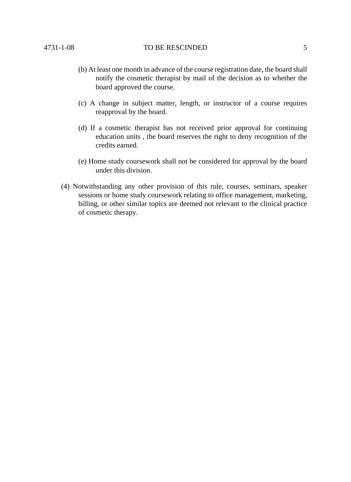- (b) At least one month in advance of the course registration date, the board shall notify the cosmetic therapist by mail of the decision as to whether the board approved the course.
- (c) A change in subject matter, length, or instructor of a course requires reapproval by the board.
- (d) If a cosmetic therapist has not received prior approval for continuing education units , the board reserves the right to deny recognition of the credits earned.
- (e) Home study coursework shall not be considered for approval by the board under this division.
- (4) Notwithstanding any other provision of this rule, courses, seminars, speaker sessions or home study coursework relating to office management, marketing, billing, or other similar topics are deemed not relevant to the clinical practice of cosmetic therapy.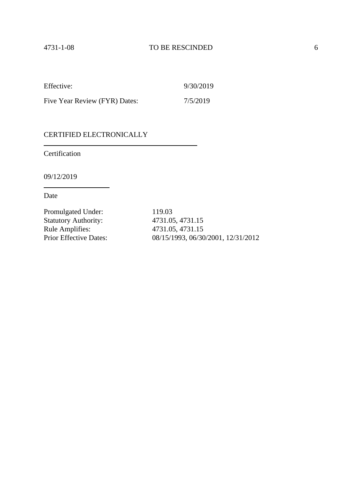| Effective:                    | 9/30/2019 |
|-------------------------------|-----------|
| Five Year Review (FYR) Dates: | 7/5/2019  |

Certification

09/12/2019

Date

Promulgated Under: 119.03 Statutory Authority: 4731.05, 4731.15 Rule Amplifies: 4731.05, 4731.15<br>Prior Effective Dates: 08/15/1993, 06/30

08/15/1993, 06/30/2001, 12/31/2012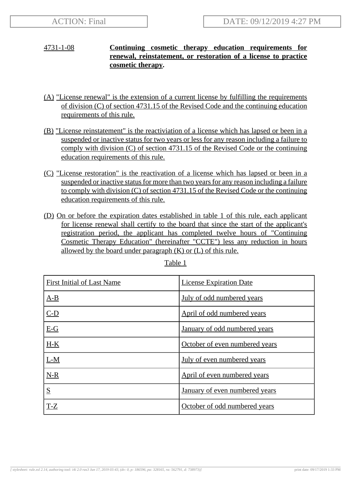# 4731-1-08 **Continuing cosmetic therapy education requirements for renewal, reinstatement, or restoration of a license to practice cosmetic therapy.**

- (A) "License renewal" is the extension of a current license by fulfilling the requirements of division (C) of section 4731.15 of the Revised Code and the continuing education requirements of this rule.
- (B) "License reinstatement" is the reactiviation of a license which has lapsed or been in a suspended or inactive status for two years or less for any reason including a failure to comply with division (C) of section 4731.15 of the Revised Code or the continuing education requirements of this rule.
- (C) "License restoration" is the reactivation of a license which has lapsed or been in a suspended or inactive status for more than two years for any reason including a failure to comply with division (C) of section 4731.15 of the Revised Code or the continuing education requirements of this rule.
- (D) On or before the expiration dates established in table 1 of this rule, each applicant for license renewal shall certify to the board that since the start of the applicant's registration period, the applicant has completed twelve hours of "Continuing Cosmetic Therapy Education" (hereinafter "CCTE") less any reduction in hours allowed by the board under paragraph  $(K)$  or  $(L)$  of this rule.

| <b>First Initial of Last Name</b> | <b>License Expiration Date</b> |
|-----------------------------------|--------------------------------|
| $A-B$                             | July of odd numbered years     |
| $C-D$                             | April of odd numbered years    |
| $E-G$                             | January of odd numbered years  |
| $H-K$                             | October of even numbered years |
| $L-M$                             | July of even numbered years    |
| $N-R$                             | April of even numbered years   |
| S                                 | January of even numbered years |
| $T-Z$                             | October of odd numbered years  |

Table 1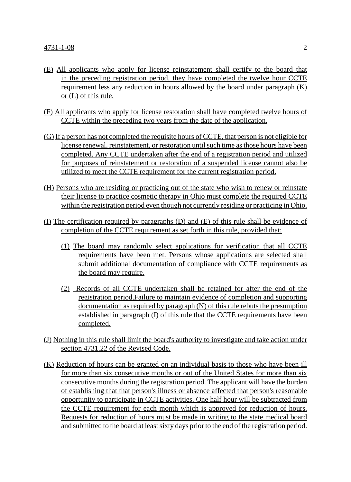- (E) All applicants who apply for license reinstatement shall certify to the board that in the preceding registration period, they have completed the twelve hour CCTE requirement less any reduction in hours allowed by the board under paragraph (K) or (L) of this rule.
- (F) All applicants who apply for license restoration shall have completed twelve hours of CCTE within the preceding two years from the date of the application.
- (G) If a person has not completed the requisite hours of CCTE, that person is not eligible for license renewal, reinstatement, or restoration until such time as those hours have been completed. Any CCTE undertaken after the end of a registration period and utilized for purposes of reinstatement or restoration of a suspended license cannot also be utilized to meet the CCTE requirement for the current registration period.
- (H) Persons who are residing or practicing out of the state who wish to renew or reinstate their license to practice cosmetic therapy in Ohio must complete the required CCTE within the registration period even though not currently residing or practicing in Ohio.
- (I) The certification required by paragraphs (D) and (E) of this rule shall be evidence of completion of the CCTE requirement as set forth in this rule, provided that:
	- (1) The board may randomly select applications for verification that all CCTE requirements have been met. Persons whose applications are selected shall submit additional documentation of compliance with CCTE requirements as the board may require.
	- (2) Records of all CCTE undertaken shall be retained for after the end of the registration period.Failure to maintain evidence of completion and supporting documentation as required by paragraph (N) of this rule rebuts the presumption established in paragraph (I) of this rule that the CCTE requirements have been completed.
- (J) Nothing in this rule shall limit the board's authority to investigate and take action under section 4731.22 of the Revised Code.
- (K) Reduction of hours can be granted on an individual basis to those who have been ill for more than six consecutive months or out of the United States for more than six consecutive months during the registration period. The applicant will have the burden of establishing that that person's illness or absence affected that person's reasonable opportunity to participate in CCTE activities. One half hour will be subtracted from the CCTE requirement for each month which is approved for reduction of hours. Requests for reduction of hours must be made in writing to the state medical board and submitted to the board at least sixty days prior to the end of the registration period.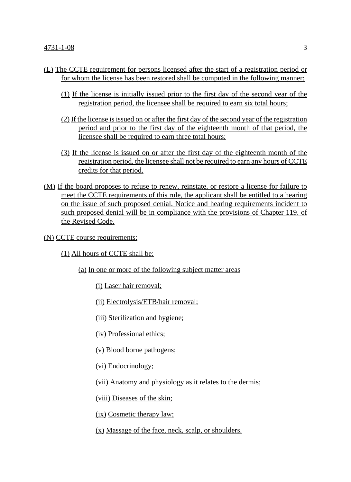- (L) The CCTE requirement for persons licensed after the start of a registration period or for whom the license has been restored shall be computed in the following manner:
	- (1) If the license is initially issued prior to the first day of the second year of the registration period, the licensee shall be required to earn six total hours;
	- (2) If the license is issued on or after the first day of the second year of the registration period and prior to the first day of the eighteenth month of that period, the licensee shall be required to earn three total hours;
	- (3) If the license is issued on or after the first day of the eighteenth month of the registration period, the licensee shall not be required to earn any hours of CCTE credits for that period.
- (M) If the board proposes to refuse to renew, reinstate, or restore a license for failure to meet the CCTE requirements of this rule, the applicant shall be entitled to a hearing on the issue of such proposed denial. Notice and hearing requirements incident to such proposed denial will be in compliance with the provisions of Chapter 119. of the Revised Code.
- (N) CCTE course requirements:
	- (1) All hours of CCTE shall be:
		- (a) In one or more of the following subject matter areas
			- (i) Laser hair removal;
			- (ii) Electrolysis/ETB/hair removal;
			- (iii) Sterilization and hygiene;
			- (iv) Professional ethics;
			- (v) Blood borne pathogens;
			- (vi) Endocrinology;
			- (vii) Anatomy and physiology as it relates to the dermis;
			- (viii) Diseases of the skin;
			- (ix) Cosmetic therapy law;
			- (x) Massage of the face, neck, scalp, or shoulders.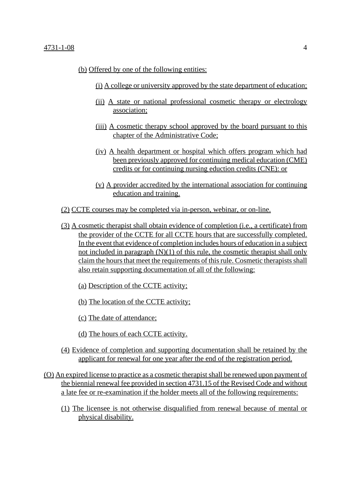- (b) Offered by one of the following entities:
	- (i) A college or university approved by the state department of education;
	- (ii) A state or national professional cosmetic therapy or electrology association;
	- (iii) A cosmetic therapy school approved by the board pursuant to this chapter of the Administrative Code;
	- (iv) A health department or hospital which offers program which had been previously approved for continuing medical education (CME) credits or for continuing nursing eduction credits (CNE): or
	- (v) A provider accredited by the international association for continuing education and training.
- (2) CCTE courses may be completed via in-person, webinar, or on-line.
- (3) A cosmetic therapist shall obtain evidence of completion (i.e., a certificate) from the provider of the CCTE for all CCTE hours that are successfully completed. In the event that evidence of completion includes hours of education in a subject not included in paragraph  $(N)(1)$  of this rule, the cosmetic therapist shall only claim the hours that meet the requirements of this rule. Cosmetic therapists shall also retain supporting documentation of all of the following:
	- (a) Description of the CCTE activity;
	- (b) The location of the CCTE activity;
	- (c) The date of attendance;
	- (d) The hours of each CCTE activity.
- (4) Evidence of completion and supporting documentation shall be retained by the applicant for renewal for one year after the end of the registration period.
- (O) An expired license to practice as a cosmetic therapist shall be renewed upon payment of the biennial renewal fee provided in section 4731.15 of the Revised Code and without a late fee or re-examination if the holder meets all of the following requirements:
	- (1) The licensee is not otherwise disqualified from renewal because of mental or physical disability.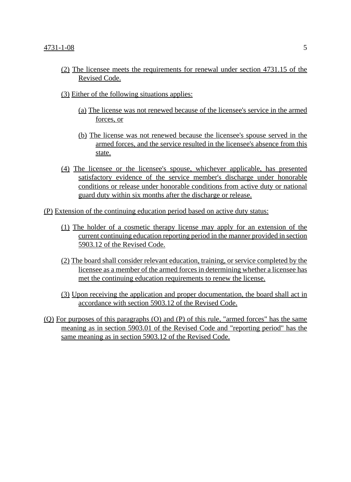- (2) The licensee meets the requirements for renewal under section 4731.15 of the Revised Code.
- (3) Either of the following situations applies:
	- (a) The license was not renewed because of the licensee's service in the armed forces, or
	- (b) The license was not renewed because the licensee's spouse served in the armed forces, and the service resulted in the licensee's absence from this state.
- (4) The licensee or the licensee's spouse, whichever applicable, has presented satisfactory evidence of the service member's discharge under honorable conditions or release under honorable conditions from active duty or national guard duty within six months after the discharge or release.
- (P) Extension of the continuing education period based on active duty status:
	- (1) The holder of a cosmetic therapy license may apply for an extension of the current continuing education reporting period in the manner provided in section 5903.12 of the Revised Code.
	- (2) The board shall consider relevant education, training, or service completed by the licensee as a member of the armed forces in determining whether a licensee has met the continuing education requirements to renew the license.
	- (3) Upon receiving the application and proper documentation, the board shall act in accordance with section 5903.12 of the Revised Code.
- (Q) For purposes of this paragraphs (O) and (P) of this rule, "armed forces" has the same meaning as in section 5903.01 of the Revised Code and "reporting period" has the same meaning as in section 5903.12 of the Revised Code.